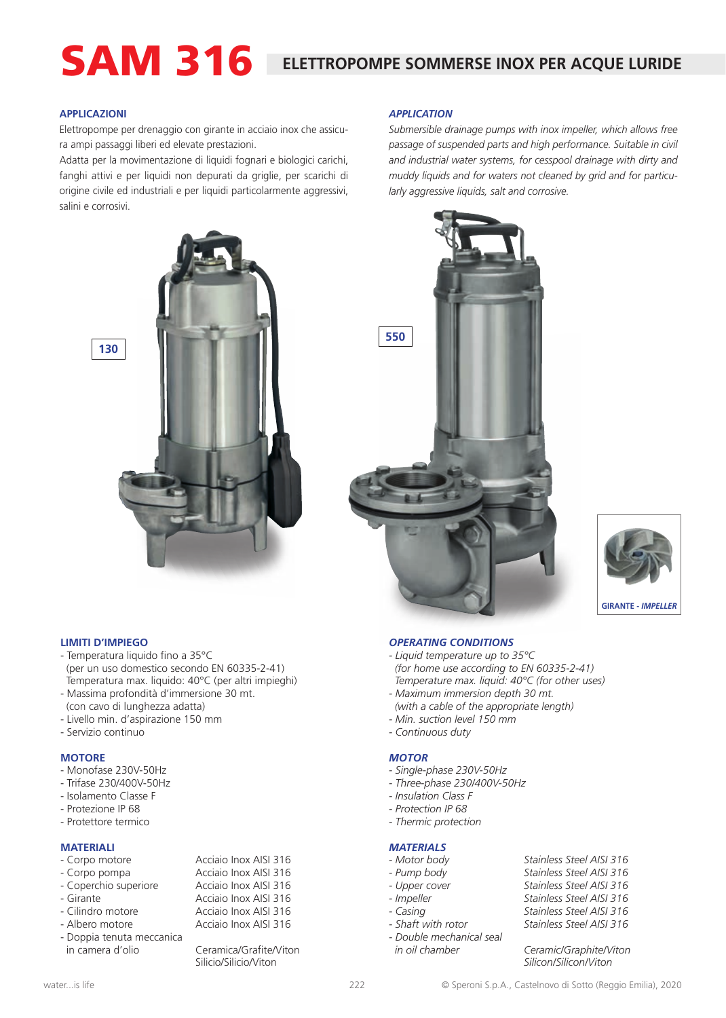# SAM 316 **ELETTROPOMPE SOMMERSE INOX PER ACQUE LURIDE**

*APPLICATION*

*Submersible drainage pumps with inox impeller, which allows free passage of suspended parts and high performance. Suitable in civil and industrial water systems, for cesspool drainage with dirty and muddy liquids and for waters not cleaned by grid and for particu-*

### **APPLICAZIONI**

Elettropompe per drenaggio con girante in acciaio inox che assicura ampi passaggi liberi ed elevate prestazioni.

Adatta per la movimentazione di liquidi fognari e biologici carichi, fanghi attivi e per liquidi non depurati da griglie, per scarichi di origine civile ed industriali e per liquidi particolarmente aggressivi, salini e corrosivi.





*larly aggressive liquids, salt and corrosive.*



### **LIMITI D'IMPIEGO**

- Temperatura liquido fino a 35°C (per un uso domestico secondo EN 60335-2-41) Temperatura max. liquido: 40°C (per altri impieghi)
- Massima profondità d'immersione 30 mt.
- (con cavo di lunghezza adatta) - Livello min. d'aspirazione 150 mm
- Servizio continuo

### **MOTORE**

- Monofase 230V-50Hz
- Trifase 230/400V-50Hz
- Isolamento Classe F
- Protezione IP 68
- Protettore termico

### **MATERIALI**

| - Corpo motore        | Acciaio Inox AISI 316 |
|-----------------------|-----------------------|
| - Corpo pompa         | Acciaio Inox AISI 316 |
| - Coperchio superiore | Acciaio Inox AISI 316 |
| - Girante             | Acciaio Inox AISI 316 |

- Cilindro motore **Acciaio Inox AISI 316** - Albero motore **Acciaio Inox AISI 316**
- 
- Doppia tenuta meccanica in camera d'olio Ceramica/Grafite/Viton

Silicio/Silicio/Viton

### *OPERATING CONDITIONS*

- *Liquid temperature up to 35°C (for home use according to EN 60335-2-41) Temperature max. liquid: 40°C (for other uses)*
- *Maximum immersion depth 30 mt.*
- *(with a cable of the appropriate length) - Min. suction level 150 mm*
- *Continuous duty*
- 

### *MOTOR*

- *Single-phase 230V-50Hz*
- *Three-phase 230/400V-50Hz*
- *Insulation Class F*
- *Protection IP 68*
- *Thermic protection*

### *MATERIALS*

- 
- 
- 
- 
- 
- 
- *Double mechanical seal*
- *Motor body Stainless Steel AISI 316 - Pump body Stainless Steel AISI 316 - Upper cover Stainless Steel AISI 316* Stainless Steel AISI 316 *- Casing Stainless Steel AISI 316* Stainless Steel AISI 316

 *in oil chamber Ceramic/Graphite/Viton Silicon/Silicon/Viton*